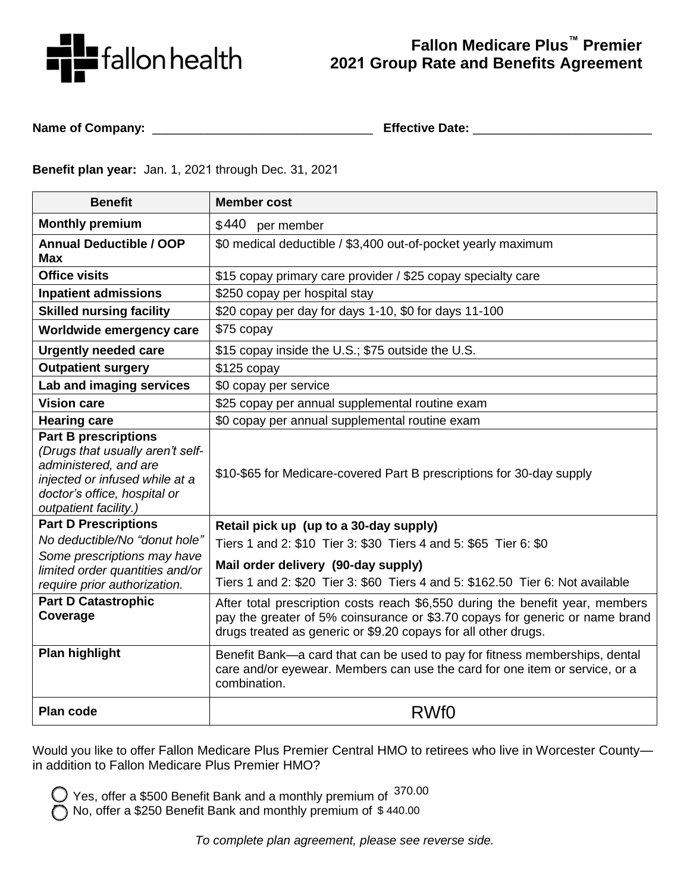

## **Fallon Medicare Plus™ Premier 2021 Group Rate and Benefits Agreement**

**Name of Company:** \_\_\_\_\_\_\_\_\_\_\_\_\_\_\_\_\_\_\_\_\_\_\_\_\_\_\_\_\_\_\_\_ **Effective Date:** \_\_\_\_\_\_\_\_\_\_\_\_\_\_\_\_\_\_\_\_\_\_\_\_\_\_

**Benefit plan year:** Jan. 1, 2021 through Dec. 31, 2021

| <b>Benefit</b>                                                                                                                                                                      | <b>Member cost</b>                                                                                                                                                                                                              |  |  |
|-------------------------------------------------------------------------------------------------------------------------------------------------------------------------------------|---------------------------------------------------------------------------------------------------------------------------------------------------------------------------------------------------------------------------------|--|--|
| <b>Monthly premium</b>                                                                                                                                                              | \$440<br>per member                                                                                                                                                                                                             |  |  |
| <b>Annual Deductible / OOP</b><br><b>Max</b>                                                                                                                                        | \$0 medical deductible / \$3,400 out-of-pocket yearly maximum                                                                                                                                                                   |  |  |
| <b>Office visits</b>                                                                                                                                                                | \$15 copay primary care provider / \$25 copay specialty care                                                                                                                                                                    |  |  |
| <b>Inpatient admissions</b>                                                                                                                                                         | \$250 copay per hospital stay                                                                                                                                                                                                   |  |  |
| <b>Skilled nursing facility</b>                                                                                                                                                     | \$20 copay per day for days 1-10, \$0 for days 11-100                                                                                                                                                                           |  |  |
| Worldwide emergency care                                                                                                                                                            | \$75 copay                                                                                                                                                                                                                      |  |  |
| <b>Urgently needed care</b>                                                                                                                                                         | \$15 copay inside the U.S.; \$75 outside the U.S.                                                                                                                                                                               |  |  |
| <b>Outpatient surgery</b>                                                                                                                                                           | \$125 copay                                                                                                                                                                                                                     |  |  |
| Lab and imaging services                                                                                                                                                            | \$0 copay per service                                                                                                                                                                                                           |  |  |
| <b>Vision care</b>                                                                                                                                                                  | \$25 copay per annual supplemental routine exam                                                                                                                                                                                 |  |  |
| <b>Hearing care</b>                                                                                                                                                                 | \$0 copay per annual supplemental routine exam                                                                                                                                                                                  |  |  |
| <b>Part B prescriptions</b><br>(Drugs that usually aren't self-<br>administered, and are<br>injected or infused while at a<br>doctor's office, hospital or<br>outpatient facility.) | \$10-\$65 for Medicare-covered Part B prescriptions for 30-day supply                                                                                                                                                           |  |  |
| <b>Part D Prescriptions</b>                                                                                                                                                         | Retail pick up (up to a 30-day supply)                                                                                                                                                                                          |  |  |
| No deductible/No "donut hole"                                                                                                                                                       | Tiers 1 and 2: \$10 Tier 3: \$30 Tiers 4 and 5: \$65 Tier 6: \$0                                                                                                                                                                |  |  |
| Some prescriptions may have                                                                                                                                                         | Mail order delivery (90-day supply)                                                                                                                                                                                             |  |  |
| limited order quantities and/or<br>require prior authorization.                                                                                                                     | Tiers 1 and 2: \$20 Tier 3: \$60 Tiers 4 and 5: \$162.50 Tier 6: Not available                                                                                                                                                  |  |  |
| <b>Part D Catastrophic</b><br>Coverage                                                                                                                                              | After total prescription costs reach \$6,550 during the benefit year, members<br>pay the greater of 5% coinsurance or \$3.70 copays for generic or name brand<br>drugs treated as generic or \$9.20 copays for all other drugs. |  |  |
| <b>Plan highlight</b>                                                                                                                                                               | Benefit Bank-a card that can be used to pay for fitness memberships, dental<br>care and/or eyewear. Members can use the card for one item or service, or a<br>combination.                                                      |  |  |
| <b>Plan code</b>                                                                                                                                                                    | RWf <sub>0</sub>                                                                                                                                                                                                                |  |  |

Would you like to offer Fallon Medicare Plus Premier Central HMO to retirees who live in Worcester County in addition to Fallon Medicare Plus Premier HMO?

 Yes, offer a \$500 Benefit Bank and a monthly premium of 370.00

No, offer a \$250 Benefit Bank and monthly premium of \$ 440.00

*To complete plan agreement, please see reverse side.*